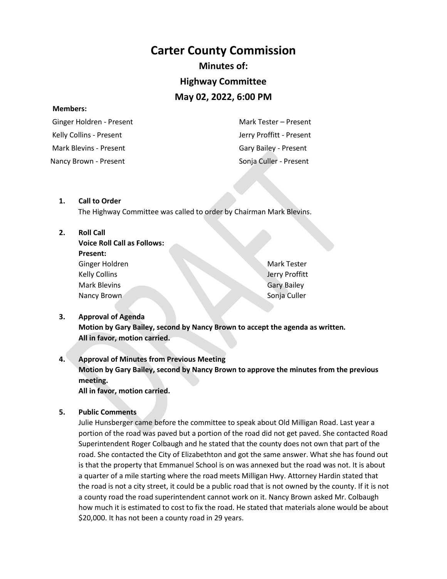## **Carter County Commission**

## **Minutes of:**

## **Highway Committee**

## **May 02, 2022, 6:00 PM**

#### **Members:**

 Ginger Holdren - Present Kelly Collins - Present Mark Blevins - Present Mark Tester – Present Jerry Proffitt - Present Gary Bailey - Present Nancy Brown - Present Sonja Culler - Present

#### **1. Call to Order**

The Highway Committee was called to order by Chairman Mark Blevins.

#### **2. Roll Call**

| <b>Voice Roll Call as Follows:</b> |
|------------------------------------|
| <b>Present:</b>                    |
| Ginger Holdren                     |
| <b>Kelly Collins</b>               |
| <b>Mark Blevins</b>                |
| Nancy Brown                        |

Mark Tester Jerry Proffitt Gary Bailey Sonja Culler

#### **3. Approval of Agenda**

**Motion by Gary Bailey, second by Nancy Brown to accept the agenda as written. All in favor, motion carried.**

## **4. Approval of Minutes from Previous Meeting Motion by Gary Bailey, second by Nancy Brown to approve the minutes from the previous meeting. All in favor, motion carried.**

#### **5. Public Comments**

Julie Hunsberger came before the committee to speak about Old Milligan Road. Last year a portion of the road was paved but a portion of the road did not get paved. She contacted Road Superintendent Roger Colbaugh and he stated that the county does not own that part of the road. She contacted the City of Elizabethton and got the same answer. What she has found out is that the property that Emmanuel School is on was annexed but the road was not. It is about a quarter of a mile starting where the road meets Milligan Hwy. Attorney Hardin stated that the road is not a city street, it could be a public road that is not owned by the county. If it is not a county road the road superintendent cannot work on it. Nancy Brown asked Mr. Colbaugh how much it is estimated to cost to fix the road. He stated that materials alone would be about \$20,000. It has not been a county road in 29 years.